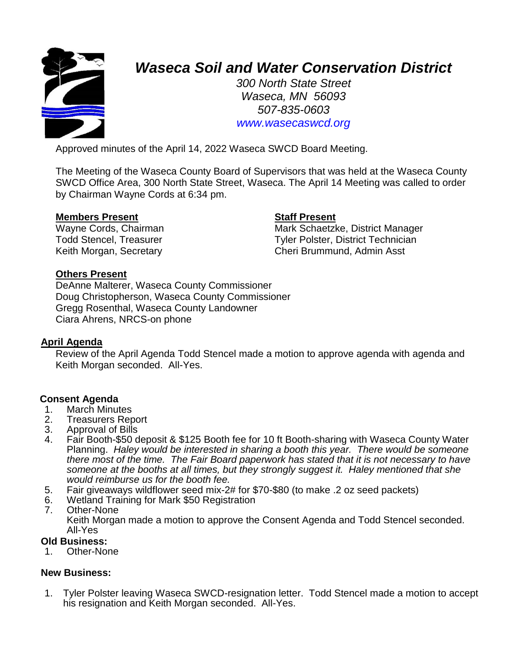

# *Waseca Soil and Water Conservation District*

*300 North State Street Waseca, MN 56093 507-835-0603 www.wasecaswcd.org*

Approved minutes of the April 14, 2022 Waseca SWCD Board Meeting.

The Meeting of the Waseca County Board of Supervisors that was held at the Waseca County SWCD Office Area, 300 North State Street, Waseca. The April 14 Meeting was called to order by Chairman Wayne Cords at 6:34 pm.

# **Members Present Staff Present**

Wayne Cords, Chairman Mark Schaetzke, District Manager Todd Stencel, Treasurer Tyler Polster, District Technician Keith Morgan, Secretary **Cheri Brummund, Admin Asst** 

# **Others Present**

DeAnne Malterer, Waseca County Commissioner Doug Christopherson, Waseca County Commissioner Gregg Rosenthal, Waseca County Landowner Ciara Ahrens, NRCS-on phone

# **April Agenda**

Review of the April Agenda Todd Stencel made a motion to approve agenda with agenda and Keith Morgan seconded. All-Yes.

#### **Consent Agenda**

- 1. March Minutes
- 2. Treasurers Report
- 3. Approval of Bills<br>4. Fair Booth-\$50 d
- 4. Fair Booth-\$50 deposit & \$125 Booth fee for 10 ft Booth-sharing with Waseca County Water Planning. *Haley would be interested in sharing a booth this year. There would be someone there most of the time. The Fair Board paperwork has stated that it is not necessary to have someone at the booths at all times, but they strongly suggest it. Haley mentioned that she would reimburse us for the booth fee.*
- 5. Fair giveaways wildflower seed mix-2# for \$70-\$80 (to make .2 oz seed packets)
- 6. Wetland Training for Mark \$50 Registration
	- **Other-None** Keith Morgan made a motion to approve the Consent Agenda and Todd Stencel seconded. All-Yes

#### **Old Business:**

1. Other-None

# **New Business:**

1. Tyler Polster leaving Waseca SWCD-resignation letter. Todd Stencel made a motion to accept his resignation and Keith Morgan seconded. All-Yes.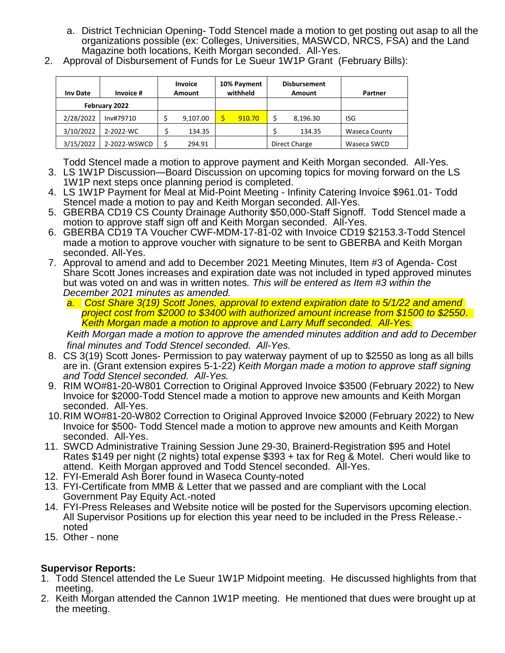- a. District Technician Opening- Todd Stencel made a motion to get posting out asap to all the organizations possible (ex: Colleges, Universities, MASWCD, NRCS, FSA) and the Land Magazine both locations, Keith Morgan seconded. All-Yes.
- 2. Approval of Disbursement of Funds for Le Sueur 1W1P Grant (February Bills):

| <b>Inv Date</b> | Invoice #    | <b>Invoice</b><br>Amount | 10% Payment<br>withheld |               | <b>Disbursement</b><br>Amount | Partner              |
|-----------------|--------------|--------------------------|-------------------------|---------------|-------------------------------|----------------------|
| February 2022   |              |                          |                         |               |                               |                      |
| 2/28/2022       | Inv#79710    | 9,107.00                 | 910.70                  | S             | 8,196.30                      | <b>ISG</b>           |
| 3/10/2022       | 2-2022-WC    | 134.35                   |                         |               | 134.35                        | <b>Waseca County</b> |
| 3/15/2022       | 2-2022-WSWCD | 294.91                   |                         | Direct Charge |                               | Waseca SWCD          |

Todd Stencel made a motion to approve payment and Keith Morgan seconded. All-Yes.

- 3. LS 1W1P Discussion—Board Discussion on upcoming topics for moving forward on the LS 1W1P next steps once planning period is completed.
- 4. LS 1W1P Payment for Meal at Mid-Point Meeting Infinity Catering Invoice \$961.01- Todd Stencel made a motion to pay and Keith Morgan seconded. All-Yes.
- 5. GBERBA CD19 CS County Drainage Authority \$50,000-Staff Signoff. Todd Stencel made a motion to approve staff sign off and Keith Morgan seconded. All-Yes.
- 6. GBERBA CD19 TA Voucher CWF-MDM-17-81-02 with Invoice CD19 \$2153.3-Todd Stencel made a motion to approve voucher with signature to be sent to GBERBA and Keith Morgan seconded. All-Yes.
- 7. Approval to amend and add to December 2021 Meeting Minutes, Item #3 of Agenda- Cost Share Scott Jones increases and expiration date was not included in typed approved minutes but was voted on and was in written notes*. This will be entered as Item #3 within the December 2021 minutes as amended.*
	- *a. Cost Share 3(19) Scott Jones, approval to extend expiration date to 5/1/22 and amend project cost from \$2000 to \$3400 with authorized amount increase from \$1500 to \$2550. Keith Morgan made a motion to approve and Larry Muff seconded. All-Yes.*

*Keith Morgan made a motion to approve the amended minutes addition and add to December final minutes and Todd Stencel seconded. All-Yes.*

- 8. CS 3(19) Scott Jones- Permission to pay waterway payment of up to \$2550 as long as all bills are in. (Grant extension expires 5-1-22) *Keith Morgan made a motion to approve staff signing and Todd Stencel seconded. All-Yes.*
- 9. RIM WO#81-20-W801 Correction to Original Approved Invoice \$3500 (February 2022) to New Invoice for \$2000-Todd Stencel made a motion to approve new amounts and Keith Morgan seconded. All-Yes.
- 10.RIM WO#81-20-W802 Correction to Original Approved Invoice \$2000 (February 2022) to New Invoice for \$500- Todd Stencel made a motion to approve new amounts and Keith Morgan seconded. All-Yes.
- 11. SWCD Administrative Training Session June 29-30, Brainerd-Registration \$95 and Hotel Rates \$149 per night (2 nights) total expense \$393 + tax for Reg & Motel. Cheri would like to attend. Keith Morgan approved and Todd Stencel seconded. All-Yes.
- 12. FYI-Emerald Ash Borer found in Waseca County-noted
- 13. FYI-Certificate from MMB & Letter that we passed and are compliant with the Local Government Pay Equity Act.-noted
- 14. FYI-Press Releases and Website notice will be posted for the Supervisors upcoming election. All Supervisor Positions up for election this year need to be included in the Press Release. noted
- 15. Other none

# **Supervisor Reports:**

- 1. Todd Stencel attended the Le Sueur 1W1P Midpoint meeting. He discussed highlights from that meeting.
- 2. Keith Morgan attended the Cannon 1W1P meeting. He mentioned that dues were brought up at the meeting.